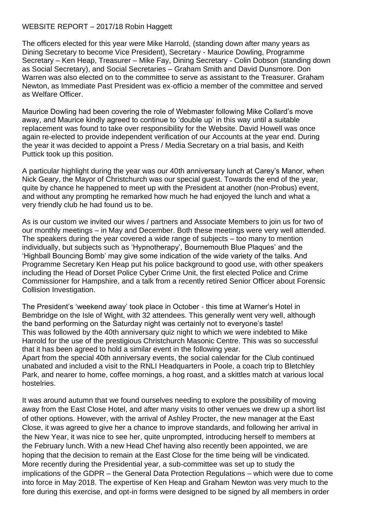## WEBSITE REPORT – 2017/18 Robin Haggett

The officers elected for this year were Mike Harrold, (standing down after many years as Dining Secretary to become Vice President), Secretary - Maurice Dowling, Programme Secretary – Ken Heap, Treasurer – Mike Fay, Dining Secretary - Colin Dobson (standing down as Social Secretary), and Social Secretaries – Graham Smith and David Dunsmore. Don Warren was also elected on to the committee to serve as assistant to the Treasurer. Graham Newton, as Immediate Past President was ex-officio a member of the committee and served as Welfare Officer.

Maurice Dowling had been covering the role of Webmaster following Mike Collard's move away, and Maurice kindly agreed to continue to 'double up' in this way until a suitable replacement was found to take over responsibility for the Website. David Howell was once again re-elected to provide independent verification of our Accounts at the year end. During the year it was decided to appoint a Press / Media Secretary on a trial basis, and Keith Puttick took up this position.

A particular highlight during the year was our 40th anniversary lunch at Carey's Manor, when Nick Geary, the Mayor of Christchurch was our special guest. Towards the end of the year, quite by chance he happened to meet up with the President at another (non-Probus) event, and without any prompting he remarked how much he had enjoyed the lunch and what a very friendly club he had found us to be.

As is our custom we invited our wives / partners and Associate Members to join us for two of our monthly meetings – in May and December. Both these meetings were very well attended. The speakers during the year covered a wide range of subjects – too many to mention individually, but subjects such as 'Hypnotherapy', Bournemouth Blue Plaques' and the 'Highball Bouncing Bomb' may give some indication of the wide variety of the talks. And Programme Secretary Ken Heap put his police background to good use, with other speakers including the Head of Dorset Police Cyber Crime Unit, the first elected Police and Crime Commissioner for Hampshire, and a talk from a recently retired Senior Officer about Forensic Collision Investigation.

The President's 'weekend away' took place in October - this time at Warner's Hotel in Bembridge on the Isle of Wight, with 32 attendees. This generally went very well, although the band performing on the Saturday night was certainly not to everyone's taste! This was followed by the 40th anniversary quiz night to which we were indebted to Mike Harrold for the use of the prestigious Christchurch Masonic Centre. This was so successful that it has been agreed to hold a similar event in the following year. Apart from the special 40th anniversary events, the social calendar for the Club continued unabated and included a visit to the RNLI Headquarters in Poole, a coach trip to Bletchley Park, and nearer to home, coffee mornings, a hog roast, and a skittles match at various local hostelries.

It was around autumn that we found ourselves needing to explore the possibility of moving away from the East Close Hotel, and after many visits to other venues we drew up a short list of other options. However, with the arrival of Ashley Procter, the new manager at the East Close, it was agreed to give her a chance to improve standards, and following her arrival in the New Year, it was nice to see her, quite unprompted, introducing herself to members at the February lunch. With a new Head Chef having also recently been appointed, we are hoping that the decision to remain at the East Close for the time being will be vindicated. More recently during the Presidential year, a sub-committee was set up to study the implications of the GDPR – the General Data Protection Regulations – which were due to come into force in May 2018. The expertise of Ken Heap and Graham Newton was very much to the fore during this exercise, and opt-in forms were designed to be signed by all members in order